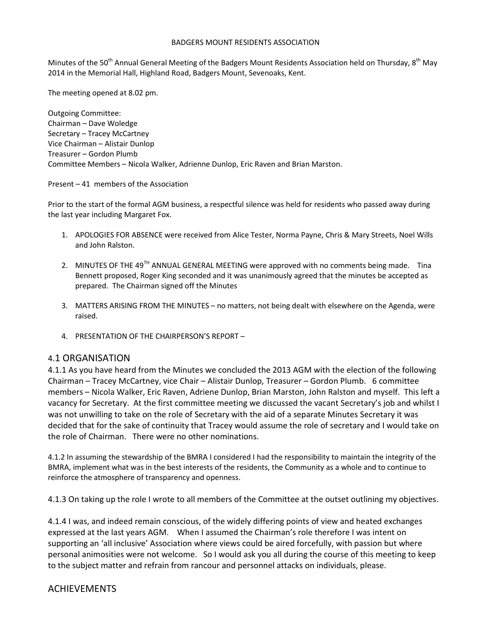#### BADGERS MOUNT RESIDENTS ASSOCIATION

Minutes of the 50<sup>th</sup> Annual General Meeting of the Badgers Mount Residents Association held on Thursday, 8<sup>th</sup> May 2014 in the Memorial Hall, Highland Road, Badgers Mount, Sevenoaks, Kent.

The meeting opened at 8.02 pm.

Outgoing Committee: Chairman – Dave Woledge Secretary – Tracey McCartney Vice Chairman – Alistair Dunlop Treasurer – Gordon Plumb Committee Members – Nicola Walker, Adrienne Dunlop, Eric Raven and Brian Marston.

Present – 41 members of the Association

Prior to the start of the formal AGM business, a respectful silence was held for residents who passed away during the last year including Margaret Fox.

- 1. APOLOGIES FOR ABSENCE were received from Alice Tester, Norma Payne, Chris & Mary Streets, Noel Wills and John Ralston.
- 2. MINUTES OF THE 49<sup>TH</sup> ANNUAL GENERAL MEETING were approved with no comments being made. Tina Bennett proposed, Roger King seconded and it was unanimously agreed that the minutes be accepted as prepared. The Chairman signed off the Minutes
- 3. MATTERS ARISING FROM THE MINUTES no matters, not being dealt with elsewhere on the Agenda, were raised.
- 4. PRESENTATION OF THE CHAIRPERSON'S REPORT –

### 4.1 ORGANISATION

4.1.1 As you have heard from the Minutes we concluded the 2013 AGM with the election of the following Chairman – Tracey McCartney, vice Chair – Alistair Dunlop, Treasurer – Gordon Plumb. 6 committee members – Nicola Walker, Eric Raven, Adriene Dunlop, Brian Marston, John Ralston and myself. This left a vacancy for Secretary. At the first committee meeting we discussed the vacant Secretary's job and whilst I was not unwilling to take on the role of Secretary with the aid of a separate Minutes Secretary it was decided that for the sake of continuity that Tracey would assume the role of secretary and I would take on the role of Chairman. There were no other nominations.

4.1.2 In assuming the stewardship of the BMRA I considered I had the responsibility to maintain the integrity of the BMRA, implement what was in the best interests of the residents, the Community as a whole and to continue to reinforce the atmosphere of transparency and openness.

4.1.3 On taking up the role I wrote to all members of the Committee at the outset outlining my objectives.

4.1.4 I was, and indeed remain conscious, of the widely differing points of view and heated exchanges expressed at the last years AGM. When I assumed the Chairman's role therefore I was intent on supporting an 'all inclusive' Association where views could be aired forcefully, with passion but where personal animosities were not welcome. So I would ask you all during the course of this meeting to keep to the subject matter and refrain from rancour and personnel attacks on individuals, please.

### ACHIEVEMENTS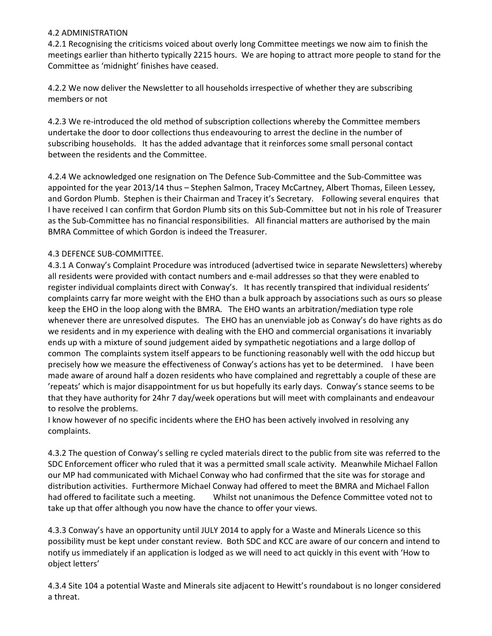### 4.2 ADMINISTRATION

4.2.1 Recognising the criticisms voiced about overly long Committee meetings we now aim to finish the meetings earlier than hitherto typically 2215 hours. We are hoping to attract more people to stand for the Committee as 'midnight' finishes have ceased.

4.2.2 We now deliver the Newsletter to all households irrespective of whether they are subscribing members or not

4.2.3 We re-introduced the old method of subscription collections whereby the Committee members undertake the door to door collections thus endeavouring to arrest the decline in the number of subscribing households. It has the added advantage that it reinforces some small personal contact between the residents and the Committee.

4.2.4 We acknowledged one resignation on The Defence Sub-Committee and the Sub-Committee was appointed for the year 2013/14 thus – Stephen Salmon, Tracey McCartney, Albert Thomas, Eileen Lessey, and Gordon Plumb. Stephen is their Chairman and Tracey it's Secretary. Following several enquires that I have received I can confirm that Gordon Plumb sits on this Sub-Committee but not in his role of Treasurer as the Sub-Committee has no financial responsibilities. All financial matters are authorised by the main BMRA Committee of which Gordon is indeed the Treasurer.

## 4.3 DEFENCE SUB-COMMITTEE.

4.3.1 A Conway's Complaint Procedure was introduced (advertised twice in separate Newsletters) whereby all residents were provided with contact numbers and e-mail addresses so that they were enabled to register individual complaints direct with Conway's. It has recently transpired that individual residents' complaints carry far more weight with the EHO than a bulk approach by associations such as ours so please keep the EHO in the loop along with the BMRA. The EHO wants an arbitration/mediation type role whenever there are unresolved disputes. The EHO has an unenviable job as Conway's do have rights as do we residents and in my experience with dealing with the EHO and commercial organisations it invariably ends up with a mixture of sound judgement aided by sympathetic negotiations and a large dollop of common The complaints system itself appears to be functioning reasonably well with the odd hiccup but precisely how we measure the effectiveness of Conway's actions has yet to be determined. I have been made aware of around half a dozen residents who have complained and regrettably a couple of these are 'repeats' which is major disappointment for us but hopefully its early days. Conway's stance seems to be that they have authority for 24hr 7 day/week operations but will meet with complainants and endeavour to resolve the problems.

I know however of no specific incidents where the EHO has been actively involved in resolving any complaints.

4.3.2 The question of Conway's selling re cycled materials direct to the public from site was referred to the SDC Enforcement officer who ruled that it was a permitted small scale activity. Meanwhile Michael Fallon our MP had communicated with Michael Conway who had confirmed that the site was for storage and distribution activities. Furthermore Michael Conway had offered to meet the BMRA and Michael Fallon had offered to facilitate such a meeting. Whilst not unanimous the Defence Committee voted not to take up that offer although you now have the chance to offer your views.

4.3.3 Conway's have an opportunity until JULY 2014 to apply for a Waste and Minerals Licence so this possibility must be kept under constant review. Both SDC and KCC are aware of our concern and intend to notify us immediately if an application is lodged as we will need to act quickly in this event with 'How to object letters'

4.3.4 Site 104 a potential Waste and Minerals site adjacent to Hewitt's roundabout is no longer considered a threat.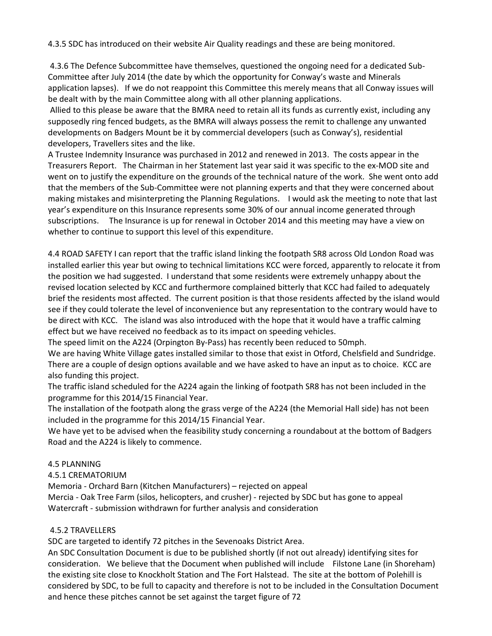4.3.5 SDC has introduced on their website Air Quality readings and these are being monitored.

 4.3.6 The Defence Subcommittee have themselves, questioned the ongoing need for a dedicated Sub-Committee after July 2014 (the date by which the opportunity for Conway's waste and Minerals application lapses). If we do not reappoint this Committee this merely means that all Conway issues will be dealt with by the main Committee along with all other planning applications.

 Allied to this please be aware that the BMRA need to retain all its funds as currently exist, including any supposedly ring fenced budgets, as the BMRA will always possess the remit to challenge any unwanted developments on Badgers Mount be it by commercial developers (such as Conway's), residential developers, Travellers sites and the like.

A Trustee Indemnity Insurance was purchased in 2012 and renewed in 2013. The costs appear in the Treasurers Report. The Chairman in her Statement last year said it was specific to the ex-MOD site and went on to justify the expenditure on the grounds of the technical nature of the work. She went onto add that the members of the Sub-Committee were not planning experts and that they were concerned about making mistakes and misinterpreting the Planning Regulations. I would ask the meeting to note that last year's expenditure on this Insurance represents some 30% of our annual income generated through subscriptions. The Insurance is up for renewal in October 2014 and this meeting may have a view on whether to continue to support this level of this expenditure.

4.4 ROAD SAFETY I can report that the traffic island linking the footpath SR8 across Old London Road was installed earlier this year but owing to technical limitations KCC were forced, apparently to relocate it from the position we had suggested. I understand that some residents were extremely unhappy about the revised location selected by KCC and furthermore complained bitterly that KCC had failed to adequately brief the residents most affected. The current position is that those residents affected by the island would see if they could tolerate the level of inconvenience but any representation to the contrary would have to be direct with KCC. The island was also introduced with the hope that it would have a traffic calming effect but we have received no feedback as to its impact on speeding vehicles.

The speed limit on the A224 (Orpington By-Pass) has recently been reduced to 50mph.

We are having White Village gates installed similar to those that exist in Otford, Chelsfield and Sundridge. There are a couple of design options available and we have asked to have an input as to choice. KCC are also funding this project.

The traffic island scheduled for the A224 again the linking of footpath SR8 has not been included in the programme for this 2014/15 Financial Year.

The installation of the footpath along the grass verge of the A224 (the Memorial Hall side) has not been included in the programme for this 2014/15 Financial Year.

We have yet to be advised when the feasibility study concerning a roundabout at the bottom of Badgers Road and the A224 is likely to commence.

### 4.5 PLANNING

4.5.1 CREMATORIUM

Memoria - Orchard Barn (Kitchen Manufacturers) – rejected on appeal Mercia - Oak Tree Farm (silos, helicopters, and crusher) - rejected by SDC but has gone to appeal Watercraft - submission withdrawn for further analysis and consideration

## 4.5.2 TRAVELLERS

SDC are targeted to identify 72 pitches in the Sevenoaks District Area.

An SDC Consultation Document is due to be published shortly (if not out already) identifying sites for consideration. We believe that the Document when published will include Filstone Lane (in Shoreham) the existing site close to Knockholt Station and The Fort Halstead. The site at the bottom of Polehill is considered by SDC, to be full to capacity and therefore is not to be included in the Consultation Document and hence these pitches cannot be set against the target figure of 72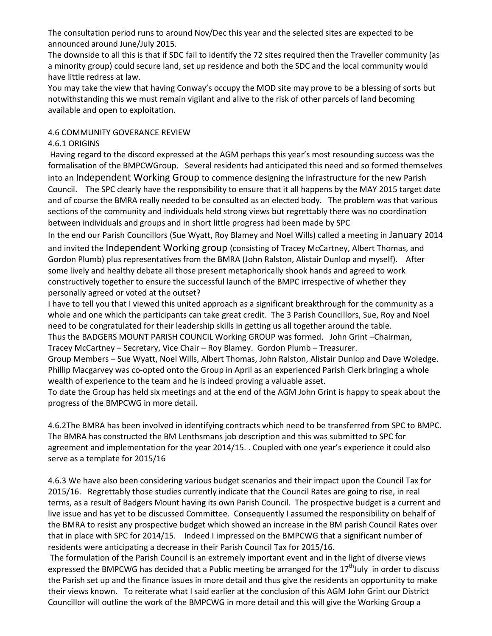The consultation period runs to around Nov/Dec this year and the selected sites are expected to be announced around June/July 2015.

The downside to all this is that if SDC fail to identify the 72 sites required then the Traveller community (as a minority group) could secure land, set up residence and both the SDC and the local community would have little redress at law.

You may take the view that having Conway's occupy the MOD site may prove to be a blessing of sorts but notwithstanding this we must remain vigilant and alive to the risk of other parcels of land becoming available and open to exploitation.

## 4.6 COMMUNITY GOVERANCE REVIEW

# 4.6.1 ORIGINS

 Having regard to the discord expressed at the AGM perhaps this year's most resounding success was the formalisation of the BMPCWGroup. Several residents had anticipated this need and so formed themselves into an Independent Working Group to commence designing the infrastructure for the new Parish Council. The SPC clearly have the responsibility to ensure that it all happens by the MAY 2015 target date and of course the BMRA really needed to be consulted as an elected body. The problem was that various sections of the community and individuals held strong views but regrettably there was no coordination between individuals and groups and in short little progress had been made by SPC

In the end our Parish Councillors (Sue Wyatt, Roy Blamey and Noel Wills) called a meeting in January 2014 and invited the Independent Working group (consisting of Tracey McCartney, Albert Thomas, and Gordon Plumb) plus representatives from the BMRA (John Ralston, Alistair Dunlop and myself). After some lively and healthy debate all those present metaphorically shook hands and agreed to work constructively together to ensure the successful launch of the BMPC irrespective of whether they personally agreed or voted at the outset?

I have to tell you that I viewed this united approach as a significant breakthrough for the community as a whole and one which the participants can take great credit. The 3 Parish Councillors, Sue, Roy and Noel need to be congratulated for their leadership skills in getting us all together around the table.

Thus the BADGERS MOUNT PARISH COUNCIL Working GROUP was formed. John Grint –Chairman, Tracey McCartney – Secretary, Vice Chair – Roy Blamey. Gordon Plumb – Treasurer.

Group Members – Sue Wyatt, Noel Wills, Albert Thomas, John Ralston, Alistair Dunlop and Dave Woledge. Phillip Macgarvey was co-opted onto the Group in April as an experienced Parish Clerk bringing a whole wealth of experience to the team and he is indeed proving a valuable asset.

To date the Group has held six meetings and at the end of the AGM John Grint is happy to speak about the progress of the BMPCWG in more detail.

4.6.2The BMRA has been involved in identifying contracts which need to be transferred from SPC to BMPC. The BMRA has constructed the BM Lenthsmans job description and this was submitted to SPC for agreement and implementation for the year 2014/15. . Coupled with one year's experience it could also serve as a template for 2015/16

4.6.3 We have also been considering various budget scenarios and their impact upon the Council Tax for 2015/16. Regrettably those studies currently indicate that the Council Rates are going to rise, in real terms, as a result of Badgers Mount having its own Parish Council. The prospective budget is a current and live issue and has yet to be discussed Committee. Consequently I assumed the responsibility on behalf of the BMRA to resist any prospective budget which showed an increase in the BM parish Council Rates over that in place with SPC for 2014/15. Indeed I impressed on the BMPCWG that a significant number of residents were anticipating a decrease in their Parish Council Tax for 2015/16.

 The formulation of the Parish Council is an extremely important event and in the light of diverse views expressed the BMPCWG has decided that a Public meeting be arranged for the  $17<sup>th</sup>$ July in order to discuss the Parish set up and the finance issues in more detail and thus give the residents an opportunity to make their views known. To reiterate what I said earlier at the conclusion of this AGM John Grint our District Councillor will outline the work of the BMPCWG in more detail and this will give the Working Group a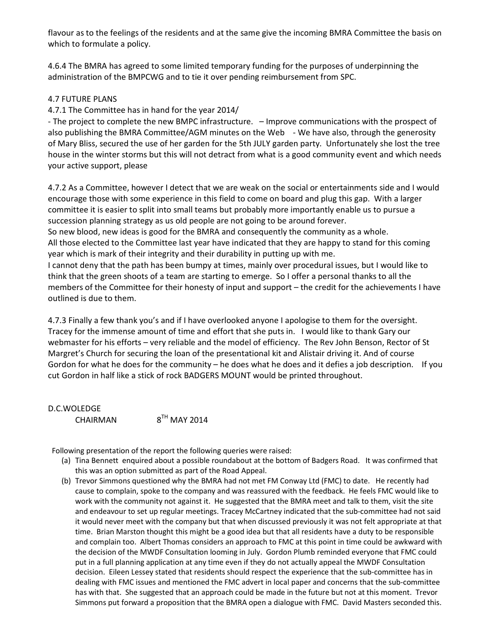flavour as to the feelings of the residents and at the same give the incoming BMRA Committee the basis on which to formulate a policy.

4.6.4 The BMRA has agreed to some limited temporary funding for the purposes of underpinning the administration of the BMPCWG and to tie it over pending reimbursement from SPC.

### 4.7 FUTURE PLANS

4.7.1 The Committee has in hand for the year 2014/

- The project to complete the new BMPC infrastructure. – Improve communications with the prospect of also publishing the BMRA Committee/AGM minutes on the Web - We have also, through the generosity of Mary Bliss, secured the use of her garden for the 5th JULY garden party. Unfortunately she lost the tree house in the winter storms but this will not detract from what is a good community event and which needs your active support, please

4.7.2 As a Committee, however I detect that we are weak on the social or entertainments side and I would encourage those with some experience in this field to come on board and plug this gap. With a larger committee it is easier to split into small teams but probably more importantly enable us to pursue a succession planning strategy as us old people are not going to be around forever.

So new blood, new ideas is good for the BMRA and consequently the community as a whole. All those elected to the Committee last year have indicated that they are happy to stand for this coming year which is mark of their integrity and their durability in putting up with me.

I cannot deny that the path has been bumpy at times, mainly over procedural issues, but I would like to think that the green shoots of a team are starting to emerge. So I offer a personal thanks to all the members of the Committee for their honesty of input and support – the credit for the achievements I have outlined is due to them.

4.7.3 Finally a few thank you's and if I have overlooked anyone I apologise to them for the oversight. Tracey for the immense amount of time and effort that she puts in. I would like to thank Gary our webmaster for his efforts – very reliable and the model of efficiency. The Rev John Benson, Rector of St Margret's Church for securing the loan of the presentational kit and Alistair driving it. And of course Gordon for what he does for the community – he does what he does and it defies a job description. If you cut Gordon in half like a stick of rock BADGERS MOUNT would be printed throughout.

D.C.WOLEDGE CHAIRMAN  $8^{TH}$  MAY 2014

Following presentation of the report the following queries were raised:

- (a) Tina Bennett enquired about a possible roundabout at the bottom of Badgers Road. It was confirmed that this was an option submitted as part of the Road Appeal.
- (b) Trevor Simmons questioned why the BMRA had not met FM Conway Ltd (FMC) to date. He recently had cause to complain, spoke to the company and was reassured with the feedback. He feels FMC would like to work with the community not against it. He suggested that the BMRA meet and talk to them, visit the site and endeavour to set up regular meetings. Tracey McCartney indicated that the sub-committee had not said it would never meet with the company but that when discussed previously it was not felt appropriate at that time. Brian Marston thought this might be a good idea but that all residents have a duty to be responsible and complain too. Albert Thomas considers an approach to FMC at this point in time could be awkward with the decision of the MWDF Consultation looming in July. Gordon Plumb reminded everyone that FMC could put in a full planning application at any time even if they do not actually appeal the MWDF Consultation decision. Eileen Lessey stated that residents should respect the experience that the sub-committee has in dealing with FMC issues and mentioned the FMC advert in local paper and concerns that the sub-committee has with that. She suggested that an approach could be made in the future but not at this moment. Trevor Simmons put forward a proposition that the BMRA open a dialogue with FMC. David Masters seconded this.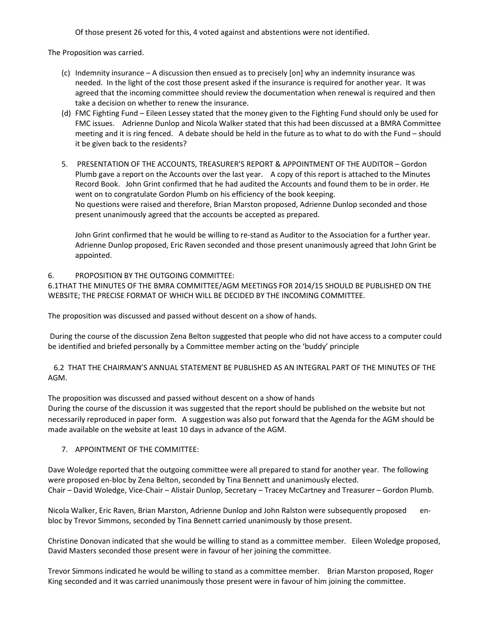Of those present 26 voted for this, 4 voted against and abstentions were not identified.

The Proposition was carried.

- (c) Indemnity insurance A discussion then ensued as to precisely [on] why an indemnity insurance was needed. In the light of the cost those present asked if the insurance is required for another year. It was agreed that the incoming committee should review the documentation when renewal is required and then take a decision on whether to renew the insurance.
- (d) FMC Fighting Fund Eileen Lessey stated that the money given to the Fighting Fund should only be used for FMC issues. Adrienne Dunlop and Nicola Walker stated that this had been discussed at a BMRA Committee meeting and it is ring fenced. A debate should be held in the future as to what to do with the Fund – should it be given back to the residents?
- 5. PRESENTATION OF THE ACCOUNTS, TREASURER'S REPORT & APPOINTMENT OF THE AUDITOR Gordon Plumb gave a report on the Accounts over the last year. A copy of this report is attached to the Minutes Record Book. John Grint confirmed that he had audited the Accounts and found them to be in order. He went on to congratulate Gordon Plumb on his efficiency of the book keeping. No questions were raised and therefore, Brian Marston proposed, Adrienne Dunlop seconded and those present unanimously agreed that the accounts be accepted as prepared.

John Grint confirmed that he would be willing to re-stand as Auditor to the Association for a further year. Adrienne Dunlop proposed, Eric Raven seconded and those present unanimously agreed that John Grint be appointed.

### 6. PROPOSITION BY THE OUTGOING COMMITTEE:

6.1THAT THE MINUTES OF THE BMRA COMMITTEE/AGM MEETINGS FOR 2014/15 SHOULD BE PUBLISHED ON THE WEBSITE; THE PRECISE FORMAT OF WHICH WILL BE DECIDED BY THE INCOMING COMMITTEE.

The proposition was discussed and passed without descent on a show of hands.

 During the course of the discussion Zena Belton suggested that people who did not have access to a computer could be identified and briefed personally by a Committee member acting on the 'buddy' principle

 6.2 THAT THE CHAIRMAN'S ANNUAL STATEMENT BE PUBLISHED AS AN INTEGRAL PART OF THE MINUTES OF THE AGM.

The proposition was discussed and passed without descent on a show of hands During the course of the discussion it was suggested that the report should be published on the website but not necessarily reproduced in paper form. A suggestion was also put forward that the Agenda for the AGM should be made available on the website at least 10 days in advance of the AGM.

### 7. APPOINTMENT OF THE COMMITTEE:

Dave Woledge reported that the outgoing committee were all prepared to stand for another year. The following were proposed en-bloc by Zena Belton, seconded by Tina Bennett and unanimously elected. Chair – David Woledge, Vice-Chair – Alistair Dunlop, Secretary – Tracey McCartney and Treasurer – Gordon Plumb.

Nicola Walker, Eric Raven, Brian Marston, Adrienne Dunlop and John Ralston were subsequently proposed enbloc by Trevor Simmons, seconded by Tina Bennett carried unanimously by those present.

Christine Donovan indicated that she would be willing to stand as a committee member. Eileen Woledge proposed, David Masters seconded those present were in favour of her joining the committee.

Trevor Simmons indicated he would be willing to stand as a committee member. Brian Marston proposed, Roger King seconded and it was carried unanimously those present were in favour of him joining the committee.